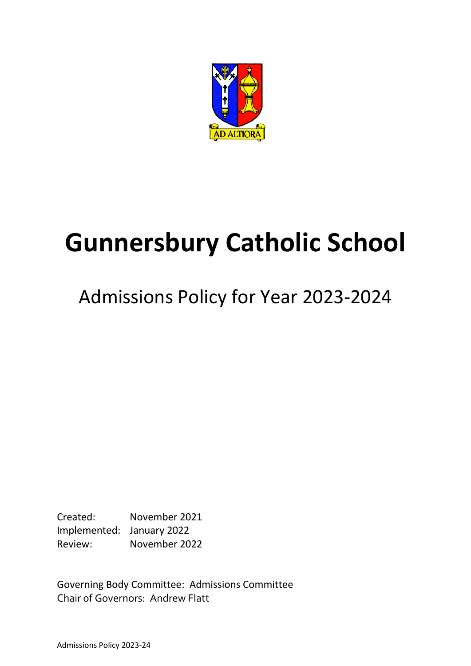

# **Gunnersbury Catholic School**

## Admissions Policy for Year 2023-2024

Created: November 2021 Implemented: January 2022 Review: November 2022

Governing Body Committee: Admissions Committee Chair of Governors: Andrew Flatt

Admissions Policy 2023-24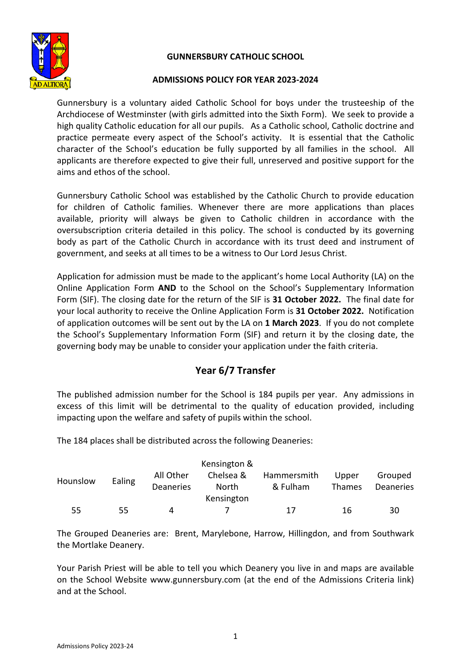## **GUNNERSBURY CATHOLIC SCHOOL**



## **ADMISSIONS POLICY FOR YEAR 2023-2024**

Gunnersbury is a voluntary aided Catholic School for boys under the trusteeship of the Archdiocese of Westminster (with girls admitted into the Sixth Form). We seek to provide a high quality Catholic education for all our pupils. As a Catholic school, Catholic doctrine and practice permeate every aspect of the School's activity. It is essential that the Catholic character of the School's education be fully supported by all families in the school. All applicants are therefore expected to give their full, unreserved and positive support for the aims and ethos of the school.

Gunnersbury Catholic School was established by the Catholic Church to provide education for children of Catholic families. Whenever there are more applications than places available, priority will always be given to Catholic children in accordance with the oversubscription criteria detailed in this policy. The school is conducted by its governing body as part of the Catholic Church in accordance with its trust deed and instrument of government, and seeks at all times to be a witness to Our Lord Jesus Christ.

Application for admission must be made to the applicant's home Local Authority (LA) on the Online Application Form **AND** to the School on the School's Supplementary Information Form (SIF). The closing date for the return of the SIF is **31 October 2022.** The final date for your local authority to receive the Online Application Form is **31 October 2022.** Notification of application outcomes will be sent out by the LA on **1 March 2023**. If you do not complete the School's Supplementary Information Form (SIF) and return it by the closing date, the governing body may be unable to consider your application under the faith criteria.

## **Year 6/7 Transfer**

The published admission number for the School is 184 pupils per year. Any admissions in excess of this limit will be detrimental to the quality of education provided, including impacting upon the welfare and safety of pupils within the school.

The 184 places shall be distributed across the following Deaneries:

|          |        |                               | Kensington &              |                         |                        |                      |
|----------|--------|-------------------------------|---------------------------|-------------------------|------------------------|----------------------|
| Hounslow | Ealing | All Other<br><b>Deaneries</b> | Chelsea &<br><b>North</b> | Hammersmith<br>& Fulham | Upper<br><b>Thames</b> | Grouped<br>Deaneries |
|          |        |                               | Kensington                |                         |                        |                      |
| 55       | 55     | Δ                             |                           | 17                      | 16                     | 30                   |

The Grouped Deaneries are: Brent, Marylebone, Harrow, Hillingdon, and from Southwark the Mortlake Deanery.

Your Parish Priest will be able to tell you which Deanery you live in and maps are available on the School Website www.gunnersbury.com (at the end of the Admissions Criteria link) and at the School.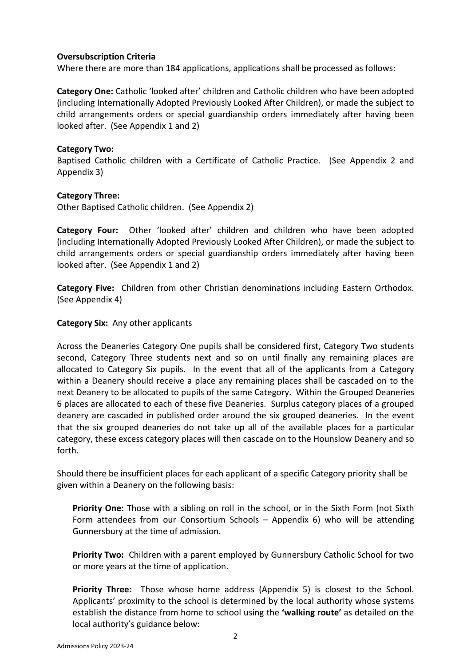## **Oversubscription Criteria**

Where there are more than 184 applications, applications shall be processed as follows:

**Category One:** Catholic 'looked after' children and Catholic children who have been adopted (including Internationally Adopted Previously Looked After Children), or made the subject to child arrangements orders or special guardianship orders immediately after having been looked after. (See Appendix 1 and 2)

## **Category Two:**

Baptised Catholic children with a Certificate of Catholic Practice. (See Appendix 2 and Appendix 3)

## **Category Three:**

Other Baptised Catholic children. (See Appendix 2)

**Category Four:** Other 'looked after' children and children who have been adopted (including Internationally Adopted Previously Looked After Children), or made the subject to child arrangements orders or special guardianship orders immediately after having been looked after. (See Appendix 1 and 2)

**Category Five:** Children from other Christian denominations including Eastern Orthodox. (See Appendix 4)

## **Category Six:** Any other applicants

Across the Deaneries Category One pupils shall be considered first, Category Two students second, Category Three students next and so on until finally any remaining places are allocated to Category Six pupils. In the event that all of the applicants from a Category within a Deanery should receive a place any remaining places shall be cascaded on to the next Deanery to be allocated to pupils of the same Category. Within the Grouped Deaneries 6 places are allocated to each of these five Deaneries. Surplus category places of a grouped deanery are cascaded in published order around the six grouped deaneries. In the event that the six grouped deaneries do not take up all of the available places for a particular category, these excess category places will then cascade on to the Hounslow Deanery and so forth.

Should there be insufficient places for each applicant of a specific Category priority shall be given within a Deanery on the following basis:

**Priority One:** Those with a sibling on roll in the school, or in the Sixth Form (not Sixth Form attendees from our Consortium Schools – Appendix 6) who will be attending Gunnersbury at the time of admission.

**Priority Two:** Children with a parent employed by Gunnersbury Catholic School for two or more years at the time of application.

**Priority Three:** Those whose home address (Appendix 5) is closest to the School. Applicants' proximity to the school is determined by the local authority whose systems establish the distance from home to school using the **'walking route'** as detailed on the local authority's guidance below: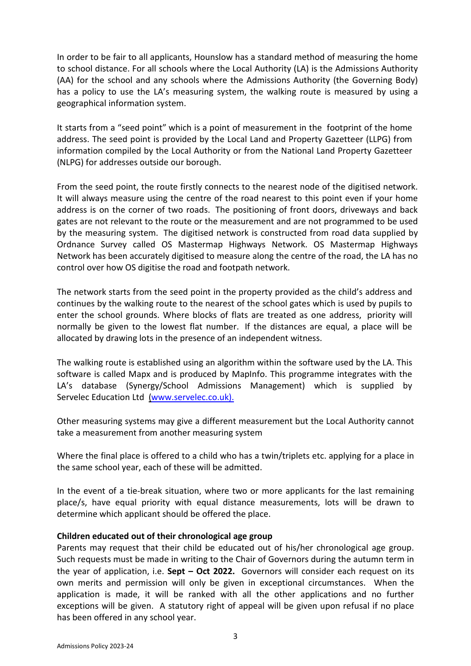In order to be fair to all applicants, Hounslow has a standard method of measuring the home to school distance. For all schools where the Local Authority (LA) is the Admissions Authority (AA) for the school and any schools where the Admissions Authority (the Governing Body) has a policy to use the LA's measuring system, the walking route is measured by using a geographical information system.

It starts from a "seed point" which is a point of measurement in the footprint of the home address. The seed point is provided by the Local Land and Property Gazetteer (LLPG) from information compiled by the Local Authority or from the National Land Property Gazetteer (NLPG) for addresses outside our borough.

From the seed point, the route firstly connects to the nearest node of the digitised network. It will always measure using the centre of the road nearest to this point even if your home address is on the corner of two roads. The positioning of front doors, driveways and back gates are not relevant to the route or the measurement and are not programmed to be used by the measuring system. The digitised network is constructed from road data supplied by Ordnance Survey called OS Mastermap Highways Network. OS Mastermap Highways Network has been accurately digitised to measure along the centre of the road, the LA has no control over how OS digitise the road and footpath network.

The network starts from the seed point in the property provided as the child's address and continues by the walking route to the nearest of the school gates which is used by pupils to enter the school grounds. Where blocks of flats are treated as one address, priority will normally be given to the lowest flat number. If the distances are equal, a place will be allocated by drawing lots in the presence of an independent witness.

The walking route is established using an algorithm within the software used by the LA. This software is called Mapx and is produced by MapInfo. This programme integrates with the LA's database (Synergy/School Admissions Management) which is supplied by Servelec Education Ltd [\(www.servelec.co.uk\).](http://www.servelec.co.uk)./)

Other measuring systems may give a different measurement but the Local Authority cannot take a measurement from another measuring system

Where the final place is offered to a child who has a twin/triplets etc. applying for a place in the same school year, each of these will be admitted.

In the event of a tie-break situation, where two or more applicants for the last remaining place/s, have equal priority with equal distance measurements, lots will be drawn to determine which applicant should be offered the place.

## **Children educated out of their chronological age group**

Parents may request that their child be educated out of his/her chronological age group. Such requests must be made in writing to the Chair of Governors during the autumn term in the year of application, i.e. **Sept – Oct 2022.** Governors will consider each request on its own merits and permission will only be given in exceptional circumstances. When the application is made, it will be ranked with all the other applications and no further exceptions will be given. A statutory right of appeal will be given upon refusal if no place has been offered in any school year.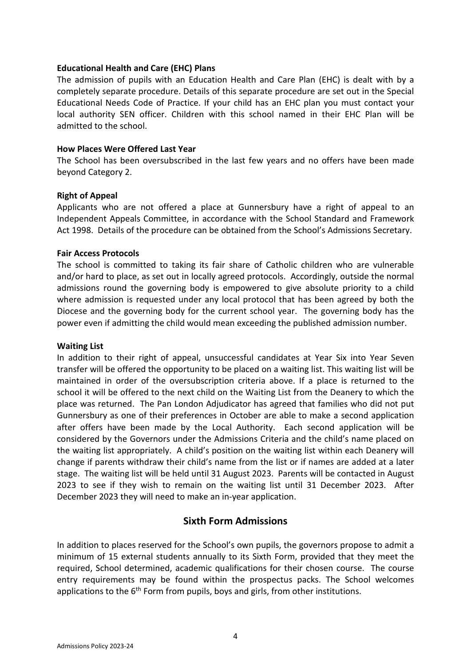## **Educational Health and Care (EHC) Plans**

The admission of pupils with an Education Health and Care Plan (EHC) is dealt with by a completely separate procedure. Details of this separate procedure are set out in the Special Educational Needs Code of Practice. If your child has an EHC plan you must contact your local authority SEN officer. Children with this school named in their EHC Plan will be admitted to the school.

## **How Places Were Offered Last Year**

The School has been oversubscribed in the last few years and no offers have been made beyond Category 2.

## **Right of Appeal**

Applicants who are not offered a place at Gunnersbury have a right of appeal to an Independent Appeals Committee, in accordance with the School Standard and Framework Act 1998. Details of the procedure can be obtained from the School's Admissions Secretary.

## **Fair Access Protocols**

The school is committed to taking its fair share of Catholic children who are vulnerable and/or hard to place, as set out in locally agreed protocols. Accordingly, outside the normal admissions round the governing body is empowered to give absolute priority to a child where admission is requested under any local protocol that has been agreed by both the Diocese and the governing body for the current school year. The governing body has the power even if admitting the child would mean exceeding the published admission number.

## **Waiting List**

In addition to their right of appeal, unsuccessful candidates at Year Six into Year Seven transfer will be offered the opportunity to be placed on a waiting list. This waiting list will be maintained in order of the oversubscription criteria above. If a place is returned to the school it will be offered to the next child on the Waiting List from the Deanery to which the place was returned. The Pan London Adjudicator has agreed that families who did not put Gunnersbury as one of their preferences in October are able to make a second application after offers have been made by the Local Authority. Each second application will be considered by the Governors under the Admissions Criteria and the child's name placed on the waiting list appropriately. A child's position on the waiting list within each Deanery will change if parents withdraw their child's name from the list or if names are added at a later stage. The waiting list will be held until 31 August 2023. Parents will be contacted in August 2023 to see if they wish to remain on the waiting list until 31 December 2023. After December 2023 they will need to make an in-year application.

## **Sixth Form Admissions**

In addition to places reserved for the School's own pupils, the governors propose to admit a minimum of 15 external students annually to its Sixth Form, provided that they meet the required, School determined, academic qualifications for their chosen course. The course entry requirements may be found within the prospectus packs. The School welcomes applications to the 6<sup>th</sup> Form from pupils, boys and girls, from other institutions.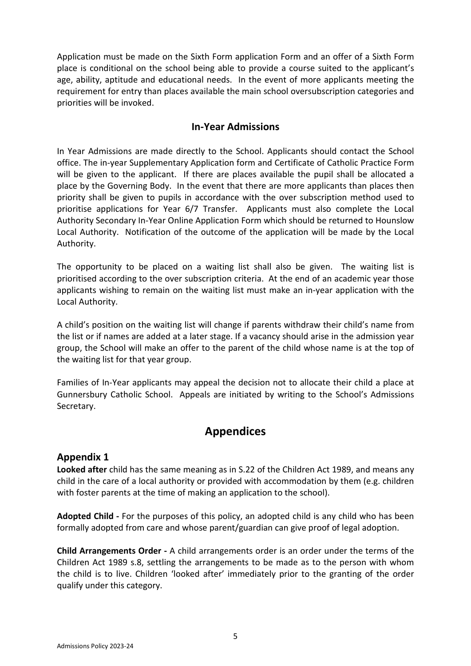Application must be made on the Sixth Form application Form and an offer of a Sixth Form place is conditional on the school being able to provide a course suited to the applicant's age, ability, aptitude and educational needs. In the event of more applicants meeting the requirement for entry than places available the main school oversubscription categories and priorities will be invoked.

## **In-Year Admissions**

In Year Admissions are made directly to the School. Applicants should contact the School office. The in-year Supplementary Application form and Certificate of Catholic Practice Form will be given to the applicant. If there are places available the pupil shall be allocated a place by the Governing Body. In the event that there are more applicants than places then priority shall be given to pupils in accordance with the over subscription method used to prioritise applications for Year 6/7 Transfer. Applicants must also complete the Local Authority Secondary In-Year Online Application Form which should be returned to Hounslow Local Authority. Notification of the outcome of the application will be made by the Local Authority.

The opportunity to be placed on a waiting list shall also be given. The waiting list is prioritised according to the over subscription criteria. At the end of an academic year those applicants wishing to remain on the waiting list must make an in-year application with the Local Authority.

A child's position on the waiting list will change if parents withdraw their child's name from the list or if names are added at a later stage. If a vacancy should arise in the admission year group, the School will make an offer to the parent of the child whose name is at the top of the waiting list for that year group.

Families of In-Year applicants may appeal the decision not to allocate their child a place at Gunnersbury Catholic School. Appeals are initiated by writing to the School's Admissions Secretary.

## **Appendices**

## **Appendix 1**

**Looked after** child has the same meaning as in S.22 of the Children Act 1989, and means any child in the care of a local authority or provided with accommodation by them (e.g. children with foster parents at the time of making an application to the school).

**Adopted Child -** For the purposes of this policy, an adopted child is any child who has been formally adopted from care and whose parent/guardian can give proof of legal adoption.

**Child Arrangements Order -** A child arrangements order is an order under the terms of the Children Act 1989 s.8, settling the arrangements to be made as to the person with whom the child is to live. Children 'looked after' immediately prior to the granting of the order qualify under this category.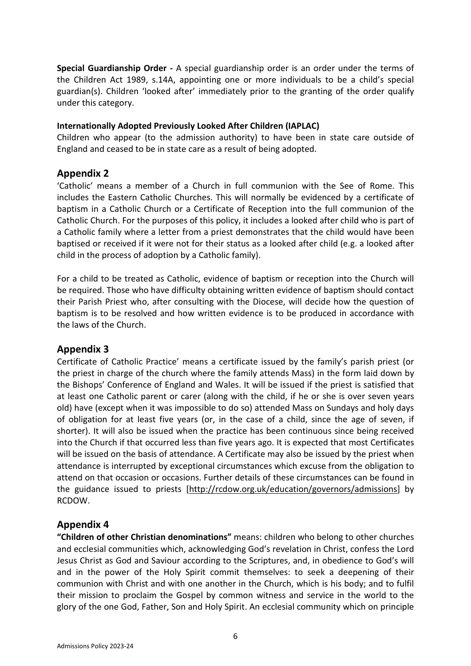**Special Guardianship Order -** A special guardianship order is an order under the terms of the Children Act 1989, s.14A, appointing one or more individuals to be a child's special guardian(s). Children 'looked after' immediately prior to the granting of the order qualify under this category.

## **Internationally Adopted Previously Looked After Children (IAPLAC)**

Children who appear (to the admission authority) to have been in state care outside of England and ceased to be in state care as a result of being adopted.

## **Appendix 2**

'Catholic' means a member of a Church in full communion with the See of Rome. This includes the Eastern Catholic Churches. This will normally be evidenced by a certificate of baptism in a Catholic Church or a Certificate of Reception into the full communion of the Catholic Church. For the purposes of this policy, it includes a looked after child who is part of a Catholic family where a letter from a priest demonstrates that the child would have been baptised or received if it were not for their status as a looked after child (e.g. a looked after child in the process of adoption by a Catholic family).

For a child to be treated as Catholic, evidence of baptism or reception into the Church will be required. Those who have difficulty obtaining written evidence of baptism should contact their Parish Priest who, after consulting with the Diocese, will decide how the question of baptism is to be resolved and how written evidence is to be produced in accordance with the laws of the Church.

## **Appendix 3**

Certificate of Catholic Practice' means a certificate issued by the family's parish priest (or the priest in charge of the church where the family attends Mass) in the form laid down by the Bishops' Conference of England and Wales. It will be issued if the priest is satisfied that at least one Catholic parent or carer (along with the child, if he or she is over seven years old) have (except when it was impossible to do so) attended Mass on Sundays and holy days of obligation for at least five years (or, in the case of a child, since the age of seven, if shorter). It will also be issued when the practice has been continuous since being received into the Church if that occurred less than five years ago. It is expected that most Certificates will be issued on the basis of attendance. A Certificate may also be issued by the priest when attendance is interrupted by exceptional circumstances which excuse from the obligation to attend on that occasion or occasions. Further details of these circumstances can be found in the guidance issued to priests [\[http://rcdow.org.uk/education/governors/admissions\]](http://rcdow.org.uk/education/governors/admissions) by RCDOW.

## **Appendix 4**

**"Children of other Christian denominations"** means: children who belong to other churches and ecclesial communities which, acknowledging God's revelation in Christ, confess the Lord Jesus Christ as God and Saviour according to the Scriptures, and, in obedience to God's will and in the power of the Holy Spirit commit themselves: to seek a deepening of their communion with Christ and with one another in the Church, which is his body; and to fulfil their mission to proclaim the Gospel by common witness and service in the world to the glory of the one God, Father, Son and Holy Spirit. An ecclesial community which on principle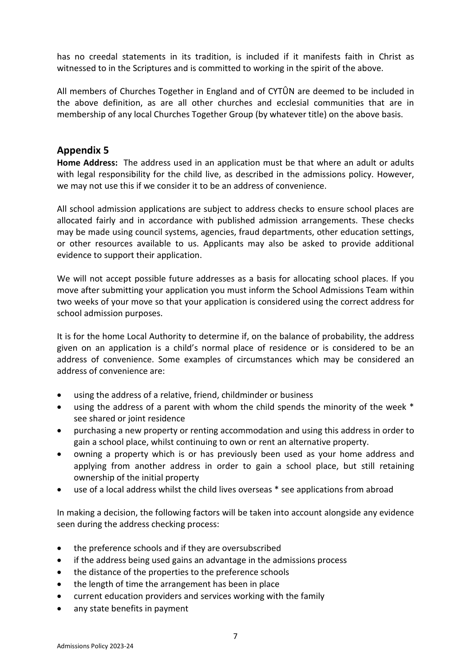has no creedal statements in its tradition, is included if it manifests faith in Christ as witnessed to in the Scriptures and is committed to working in the spirit of the above.

All members of Churches Together in England and of CYTÛN are deemed to be included in the above definition, as are all other churches and ecclesial communities that are in membership of any local Churches Together Group (by whatever title) on the above basis.

## **Appendix 5**

**Home Address:** The address used in an application must be that where an adult or adults with legal responsibility for the child live, as described in the admissions policy. However, we may not use this if we consider it to be an address of convenience.

All school admission applications are subject to address checks to ensure school places are allocated fairly and in accordance with published admission arrangements. These checks may be made using council systems, agencies, fraud departments, other education settings, or other resources available to us. Applicants may also be asked to provide additional evidence to support their application.

We will not accept possible future addresses as a basis for allocating school places. If you move after submitting your application you must inform the School Admissions Team within two weeks of your move so that your application is considered using the correct address for school admission purposes.

It is for the home Local Authority to determine if, on the balance of probability, the address given on an application is a child's normal place of residence or is considered to be an address of convenience. Some examples of circumstances which may be considered an address of convenience are:

- using the address of a relative, friend, childminder or business
- using the address of a parent with whom the child spends the minority of the week \* see shared or joint residence
- purchasing a new property or renting accommodation and using this address in order to gain a school place, whilst continuing to own or rent an alternative property.
- owning a property which is or has previously been used as your home address and applying from another address in order to gain a school place, but still retaining ownership of the initial property
- use of a local address whilst the child lives overseas \* see applications from abroad

In making a decision, the following factors will be taken into account alongside any evidence seen during the address checking process:

- the preference schools and if they are oversubscribed
- if the address being used gains an advantage in the admissions process
- the distance of the properties to the preference schools
- the length of time the arrangement has been in place
- current education providers and services working with the family
- any state benefits in payment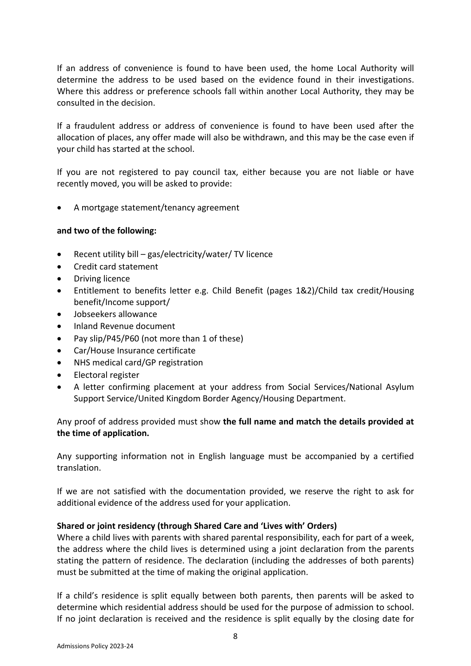If an address of convenience is found to have been used, the home Local Authority will determine the address to be used based on the evidence found in their investigations. Where this address or preference schools fall within another Local Authority, they may be consulted in the decision.

If a fraudulent address or address of convenience is found to have been used after the allocation of places, any offer made will also be withdrawn, and this may be the case even if your child has started at the school.

If you are not registered to pay council tax, either because you are not liable or have recently moved, you will be asked to provide:

• A mortgage statement/tenancy agreement

## **and two of the following:**

- Recent utility bill gas/electricity/water/ TV licence
- Credit card statement
- Driving licence
- Entitlement to benefits letter e.g. Child Benefit (pages 1&2)/Child tax credit/Housing benefit/Income support/
- Jobseekers allowance
- Inland Revenue document
- Pay slip/P45/P60 (not more than 1 of these)
- Car/House Insurance certificate
- NHS medical card/GP registration
- Electoral register
- A letter confirming placement at your address from Social Services/National Asylum Support Service/United Kingdom Border Agency/Housing Department.

Any proof of address provided must show **the full name and match the details provided at the time of application.**

Any supporting information not in English language must be accompanied by a certified translation.

If we are not satisfied with the documentation provided, we reserve the right to ask for additional evidence of the address used for your application.

## **Shared or joint residency (through Shared Care and 'Lives with' Orders)**

Where a child lives with parents with shared parental responsibility, each for part of a week, the address where the child lives is determined using a joint declaration from the parents stating the pattern of residence. The declaration (including the addresses of both parents) must be submitted at the time of making the original application.

If a child's residence is split equally between both parents, then parents will be asked to determine which residential address should be used for the purpose of admission to school. If no joint declaration is received and the residence is split equally by the closing date for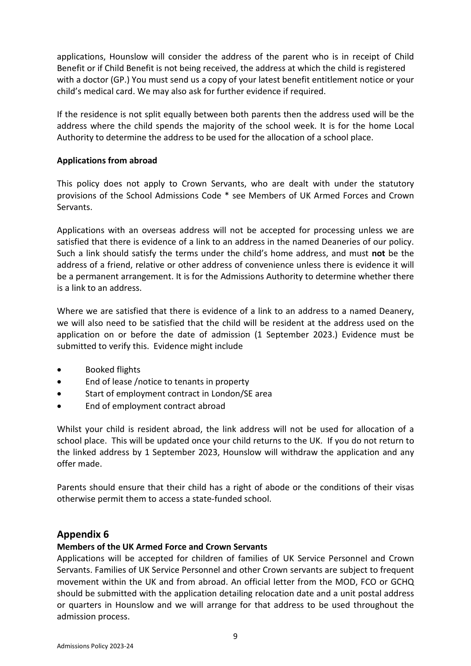applications, Hounslow will consider the address of the parent who is in receipt of Child Benefit or if Child Benefit is not being received, the address at which the child is registered with a doctor (GP.) You must send us a copy of your latest benefit entitlement notice or your child's medical card. We may also ask for further evidence if required.

If the residence is not split equally between both parents then the address used will be the address where the child spends the majority of the school week. It is for the home Local Authority to determine the address to be used for the allocation of a school place.

## **Applications from abroad**

This policy does not apply to Crown Servants, who are dealt with under the statutory provisions of the School Admissions Code \* see Members of UK Armed Forces and Crown Servants.

Applications with an overseas address will not be accepted for processing unless we are satisfied that there is evidence of a link to an address in the named Deaneries of our policy. Such a link should satisfy the terms under the child's home address, and must **not** be the address of a friend, relative or other address of convenience unless there is evidence it will be a permanent arrangement. It is for the Admissions Authority to determine whether there is a link to an address.

Where we are satisfied that there is evidence of a link to an address to a named Deanery, we will also need to be satisfied that the child will be resident at the address used on the application on or before the date of admission (1 September 2023.) Evidence must be submitted to verify this. Evidence might include

- Booked flights
- End of lease /notice to tenants in property
- Start of employment contract in London/SE area
- End of employment contract abroad

Whilst your child is resident abroad, the link address will not be used for allocation of a school place. This will be updated once your child returns to the UK. If you do not return to the linked address by 1 September 2023, Hounslow will withdraw the application and any offer made.

Parents should ensure that their child has a right of abode or the conditions of their visas otherwise permit them to access a state-funded school.

## **Appendix 6**

## **Members of the UK Armed Force and Crown Servants**

Applications will be accepted for children of families of UK Service Personnel and Crown Servants. Families of UK Service Personnel and other Crown servants are subject to frequent movement within the UK and from abroad. An official letter from the MOD, FCO or GCHQ should be submitted with the application detailing relocation date and a unit postal address or quarters in Hounslow and we will arrange for that address to be used throughout the admission process.